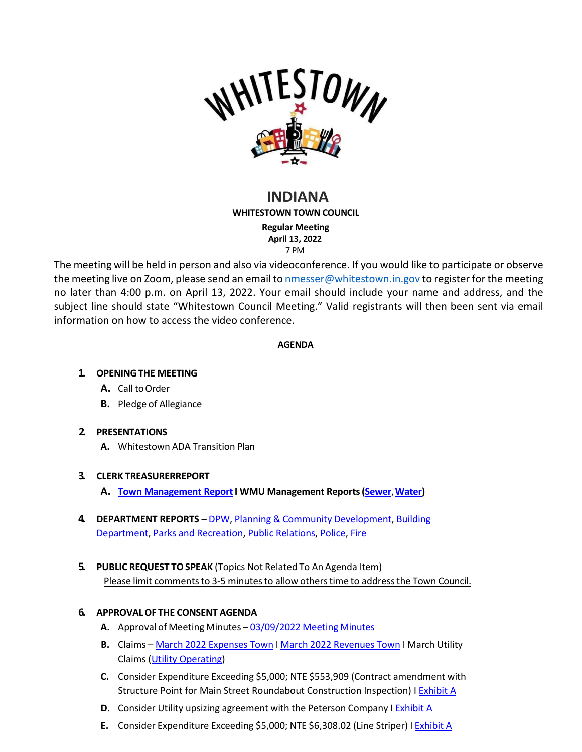

# **INDIANA WHITESTOWN TOWN COUNCIL**

**Regular Meeting April 13, 2022** 7 PM

The meeting will be held in person and also via videoconference. If you would like to participate or observe the meeting live on Zoom, please send an email to [nmesser@whitestown.in.gov](mailto:nmesser@whitestown.in.gov) to register for the meeting no later than 4:00 p.m. on April 13, 2022. Your email should include your name and address, and the subject line should state "Whitestown Council Meeting." Valid registrants will then been sent via email information on how to access the video conference.

#### **AGENDA**

## **1. OPENINGTHE MEETING**

- A. Call to Order
- **B.** Pledge of Allegiance

### **2. PRESENTATIONS**

**A.** Whitestown ADA Transition Plan

### **3. CLERK TREASURERREPORT**

- **A. Town [Management](https://whitestown.in.gov/vertical/sites/%7BB8BE8AC3-9DE8-4247-BCB0-1173F48CC7C3%7D/uploads/March_2022_Town_Management_Report(1).pdf) ReportI WMU Management Reports[\(Sewer](https://whitestown.in.gov/vertical/sites/%7BB8BE8AC3-9DE8-4247-BCB0-1173F48CC7C3%7D/uploads/February_2022_-_Whitestown_Sewage_Works_Monthly_Management_Report.pdf)**,**[Water\)](https://whitestown.in.gov/vertical/sites/%7BB8BE8AC3-9DE8-4247-BCB0-1173F48CC7C3%7D/uploads/February_2022_-_Whitestown_Water_Works_Monthly_Management_Report.pdf)**
- **4. DEPARTMENT REPORTS** [DPW,](https://whitestown.in.gov/vertical/sites/%7BB8BE8AC3-9DE8-4247-BCB0-1173F48CC7C3%7D/uploads/March_2022_DPW_Report.pdf) Planning & Community [Development,](https://whitestown.in.gov/vertical/sites/%7BB8BE8AC3-9DE8-4247-BCB0-1173F48CC7C3%7D/uploads/March_2022_Planning_Dept_Monthly_report.pdf) [Building](https://whitestown.in.gov/vertical/sites/%7BB8BE8AC3-9DE8-4247-BCB0-1173F48CC7C3%7D/uploads/March_2022_Building_Dept_Report.pdf) [Department,](https://whitestown.in.gov/vertical/sites/%7BB8BE8AC3-9DE8-4247-BCB0-1173F48CC7C3%7D/uploads/March_2022_Building_Dept_Report.pdf) [Parks and Recreation,](https://whitestown.in.gov/vertical/sites/%7BB8BE8AC3-9DE8-4247-BCB0-1173F48CC7C3%7D/uploads/March_2022_Parks_Report.pdf) [Public Relations,](https://whitestown.in.gov/vertical/sites/%7BB8BE8AC3-9DE8-4247-BCB0-1173F48CC7C3%7D/uploads/March2022PRReport.pdf) [Police,](https://whitestown.in.gov/vertical/sites/%7BB8BE8AC3-9DE8-4247-BCB0-1173F48CC7C3%7D/uploads/March_2022_WMPD__Report.pdf) [Fire](https://whitestown.in.gov/vertical/sites/%7BB8BE8AC3-9DE8-4247-BCB0-1173F48CC7C3%7D/uploads/March_2022_WFD_Report.pdf)
- **5. PUBLIC REQUEST TOSPEAK** (Topics Not Related To An Agenda Item) Please limit comments to 3-5 minutes to allow others time to address the Town Council.

### **6. APPROVALOF THE CONSENT AGENDA**

- **A.** Approval of Meeting Minutes [03/09/2022](https://whitestown.in.gov/vertical/sites/%7BB8BE8AC3-9DE8-4247-BCB0-1173F48CC7C3%7D/uploads/3-9-22_Whitestown_Town_Council_Meeting_Minutes.pdf) Meeting Minutes
- **B.** Claims March 2022 [Expenses](https://whitestown.in.gov/vertical/sites/%7BB8BE8AC3-9DE8-4247-BCB0-1173F48CC7C3%7D/uploads/March_2022_Disbursements.pdf) Town I March 2022 [Revenues](https://whitestown.in.gov/vertical/sites/%7BB8BE8AC3-9DE8-4247-BCB0-1173F48CC7C3%7D/uploads/March_2022_Fee_Receipts.pdf) Town I March Utility Claims [\(Utility Operating\)](https://whitestown.in.gov/vertical/sites/%7BB8BE8AC3-9DE8-4247-BCB0-1173F48CC7C3%7D/uploads/Claims_Docket_Utility_Operating_4.13.22.pdf)
- **C.** Consider Expenditure Exceeding \$5,000; NTE \$553,909 (Contract amendment with Structure Point for Main Street Roundabout Construction Inspection) [I Exhibit A](https://whitestown.in.gov/vertical/sites/%7BB8BE8AC3-9DE8-4247-BCB0-1173F48CC7C3%7D/uploads/2018.01461.CM.R0.CTR_Amd_4_Town_of_Whitestown_Structurepoint_signed.pdf)
- **D.** Consider Utility upsizing agreement with the Peterson Company I **[Exhibit](https://whitestown.in.gov/vertical/sites/%7BB8BE8AC3-9DE8-4247-BCB0-1173F48CC7C3%7D/uploads/Utility_Upsizing_Agreement.pdf) A**
- **E.** Consider Expenditure Exceeding \$5,000; NTE \$6,308.02 (Line Striper) I [Exhibit](https://whitestown.in.gov/vertical/sites/%7BB8BE8AC3-9DE8-4247-BCB0-1173F48CC7C3%7D/uploads/Line_Striper.pdf) A